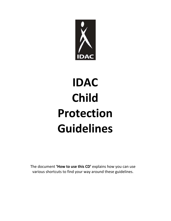

# **IDAC Child Protection Guidelines**

The document **'How to use this CD'** explains how you can use various shortcuts to find your way around these guidelines.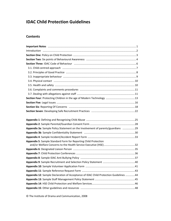# **IDAC Child Protection Guidelines**

## **Contents**

| Appendix 3a: Sample Policy Statement on the Involvement of parents/guardians 29      |
|--------------------------------------------------------------------------------------|
|                                                                                      |
|                                                                                      |
| Appendix 5: Sample Standard Form for Reporting Child Protection                      |
|                                                                                      |
|                                                                                      |
|                                                                                      |
|                                                                                      |
|                                                                                      |
|                                                                                      |
|                                                                                      |
| Appendix 12: Sample Declaration of Acceptance of IDAC Child Protection Guidelines 44 |
|                                                                                      |
|                                                                                      |

© The Institute of Drama and Communication, 2008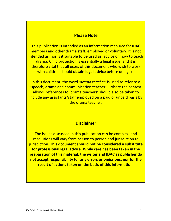## **Please Note**

<span id="page-2-0"></span>This publication is intended as an information resource for IDAC members and other drama staff, employed or voluntary. It is not intended as, nor is it suitable to be used as, advice on how to teach drama. Child protection is essentially a legal issue, and it is therefore vital that all users of this document who wish to work with children should **obtain legal advice** before doing so.

In this document, the word *'drama teacher'* is used to refer to a 'speech, drama and communication teacher'. Where the context allows, references to 'drama teachers' should also be taken to include any assistants/staff employed on a paid or unpaid basis by the drama teacher.

# **Disclaimer**

The issues discussed in this publication can be complex, and resolutions will vary from person to person and jurisdiction to jurisdiction. **This document should not be considered a substitute for professional legal advice. While care has been taken in the preparation of this material, the writer and IDAC as publisher do not accept responsibility for any errors or omissions, nor for the result of actions taken on the basis of this information**.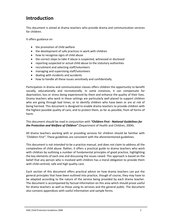# <span id="page-3-0"></span>**Introduction**

This document is aimed at drama teachers who provide drama and communication services for children.

It offers guidance on

- the promotion of child welfare
- the development of safe practices in work with children
- how to recognise signs of child abuse
- the correct steps to take if abuse is suspected, witnessed or disclosed
- reporting suspected or actual child abuse to the statutory authorities
- recruitment and selecting staff/volunteers
- managing and supervising staff/volunteers
- dealing with incidents and accidents
- how to handle all these issues sensitively and confidentially.

Participation in drama and communication classes offers children the opportunity to benefit socially, educationally and recreationally. In some instances, it can compensate for deprivation, loss or stress being experienced by them and enhance the quality of their lives. Drama teachers who work in these settings are particularly well placed to support children who are going through bad times, or to identify children who have been or are at risk of being harmed. This document is designed to enable drama teachers to provide children with the highest possible quality of care, and to protect them, as far as possible, from all forms of harm.

This document should be read in conjunction with *"Children First ‐ National Guidelines for the Protection and Welfare of Children"* (Department of Health and Children, 2004).

All drama teachers working with or providing services for children should be familiar with *"Children First".* These guidelines are consistent with the aforementioned guidelines.

This document is not intended to be a practice manual, and does not claim to address all the complexities of child abuse. Rather, it offers a practical guide to drama teachers who work with children by outlining a number of fundamental principles of good practice, highlighting the key elements of each one and discussing the issues raised. This approach is based on the belief that any person who is involved with children has a moral obligation to provide them with child-centred, safe and high quality care.

Each section of this document offers practical advice on how drama teachers can put the general principles that have been outlined into practice, though of course, they may have to be adapted according to the nature of the service being provided by each drama teacher. The document is accompanied by factual information on this area which should prove useful for drama teachers as well as those using its services and the general public. The document also contains appendices with useful information and sample forms.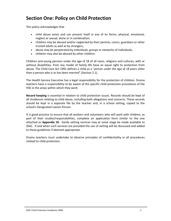# <span id="page-4-0"></span>**Section One: Policy on Child Protection**

This policy acknowledges that

- child abuse exists and can present itself in any of its forms, physical, emotional, neglect or sexual, alone or in combination;
- children may be abused and/or neglected by their parents, carers, guardians or other trusted adults as well as by strangers;
- abuse may be perpetrated by individuals, groups or networks of individuals;
- children may also be abused by other children.

Children and young persons under the age of 18 of all races, religions and cultures, with or without disabilities, from any model of family life have an equal right to protection from abuse. The Child Care Act 1991 defines a child as a "*person under the age of 18 years other than a person who is or has been married*" (Section 2.1).

The Health Service Executive has a legal responsibility for the protection of children. Drama teachers have a responsibility to be aware of the specific child protection procedures of the HSE in the areas within which they work.

**Record keeping** is essential in relation to child protection issues. Records should be kept of all incidences relating to child abuse, including both allegations and concerns. These records should be kept in a separate file by the teacher and, in a school setting, copied to the school's Designated Liaison Person.

It is good practice to ensure that all workers and volunteers who will work with children, as part of their studies/responsibilities, complete an application form similar to the one attached as **[Appendix](#page-42-0) 10**. Garda vetting services may at some stage be made available to IDAC. If and when such services are provided the use of vetting will be discussed and added to these guidelines if deemed appropriate.

Drama teachers must undertake to observe principles of confidentiality in all procedures related to child protection.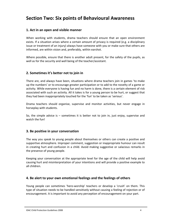# <span id="page-5-0"></span>**Section Two: Six points of Behavioural Awareness**

## **1. Act in an open and visible manner**

When working with students, drama teachers should ensure that an open environment exists. If a situation arises where a certain amount of privacy is required (e.g. a disciplinary issue or treatment of an injury) always have someone with you or make sure that others are informed, are within vision and, preferably, within earshot.

Where possible, ensure that there is another adult present, for the safety of the pupils, as well as for the security and well being of the teacher/assistant.

## **2. Sometimes it's better not to join in**

There are, and always have been, situations where drama teachers join in games 'to make up the numbers' or to encourage greater participation or to add to the novelty of a game or activity. While everyone is having fun and no harm is done, there is a certain element of risk associated with such an activity. All it takes is for a young person to be hurt, or suggest that they had been inappropriately touched for the 'fun' to be taken as 'serious'.

Drama teachers should organise, supervise and monitor activities, but never engage in horseplay with students.

So, the simple advice is – sometimes it is better not to join in, just enjoy, supervise and watch the fun!

#### **3. Be positive in your conversation**

The way you speak to young people about themselves or others can create a positive and supportive atmosphere. Improper comment, suggestion or inappropriate humour can result in creating hurt and confusion in a child. Avoid making suggestive or salacious remarks in the presence of young people.

Keeping your conversation at the appropriate level for the age of the child will help avoid causing hurt and misinterpretation of your intentions and will provide a positive example to all children.

#### **4. Be alert to your own emotional feelings and the feelings of others**

Young people can sometimes 'hero-worship' teachers or develop a 'crush' on them. This type of situation needs to be handled sensitively without causing a feeling of rejection or of encouragement. It is important to avoid any perception of encouragement on your part.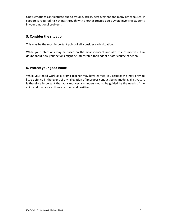One's emotions can fluctuate due to trauma, stress, bereavement and many other causes. If support is required, talk things through with another trusted adult. Avoid involving students in your emotional problems.

## **5. Consider the situation**

This may be the most important point of all: consider each situation.

While your intentions may be based on the most innocent and altruistic of motives, if in doubt about how your actions might be interpreted then adopt a safer course of action.

## **6. Protect your good name**

While your good work as a drama teacher may have earned you respect this may provide little defence in the event of any allegation of improper conduct being made against you. It is therefore important that your motives are understood to be guided by the needs of the child and that your actions are open and positive.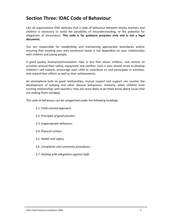# <span id="page-7-0"></span>**Section Three: IDAC Code of Behaviour**

Like all organisations IDAC believes that a code of behaviour between drama teachers and children is necessary to avoid the possibility of misunderstanding, or the potential for allegations of misconduct. **This code is for guidance purposes only and is not a legal document.**

You are responsible for establishing and maintaining appropriate boundaries and/or ensuring that meeting your own emotional needs is not dependent on your relationships with children and young people.

A good quality drama/communication class is one that values children, and centres its activities around their safety, enjoyment and comfort. Such a class should strive to develop children's self esteem, encourage each child to contribute to and participate in activities, and reward their efforts as well as their achievements.

An atmosphere built on good relationships, mutual respect and support can counter the development of bullying and other abusive behaviours. Similarly, when children have trusting relationships with teachers, they are more likely to let them know about issues that are making them unhappy.

The code of behaviour can be categorised under the following headings:

- *3.1. Child‐centred approach.*
- *3.2. Principles of good practice.*
- *3.3. Inappropriate behaviour.*
- *3.4. Physical contact.*
- *3.5. Health and safety.*
- *3.6. Complaints and comments procedures.*
- *3.7. Dealing with allegations against staff.*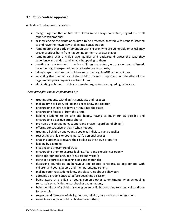## <span id="page-8-0"></span>**3.1. Child‐centred approach**

A child‐centred approach involves:

- recognising that the welfare of children must always come first, regardless of all other considerations;
- acknowledging the rights of children to be protected, treated with respect, listened to and have their own views taken into consideration;
- remembering that early intervention with children who are vulnerable or at risk may prevent serious harm from happening to them at a later stage;
- remembering that a child's age, gender and background affect the way they experience and understand what is happening to them;
- creating an environment in which children are valued, encouraged and affirmed, have their rights respected, and are treated as individuals;
- taking steps to ensure that children know their rights AND responsibilities;
- accepting that the welfare of the child is the most important consideration of any organisation providing services to children;
- eliminating as far as possible any threatening, violent or degrading behaviour.

#### *These principles can be implemented by:*

- treating students with dignity, sensitivity and respect;
- making time to listen, talk to and get to know the children;
- encouraging children to have an input into the class;
- encouraging feedback from the group;
- helping students to be safe and happy, having as much fun as possible and encouraging a positive atmosphere;
- providing encouragement, support and praise (regardless of ability);
- offering constructive criticism when needed;
- treating all children and young people as individuals and equally;
- respecting a child's or young person's personal space;
- enabling students to regard their bodies as their own property;
- leading by example;
- creating an atmosphere of trust;
- encouraging them to express feelings, fears and experiences openly;
- using appropriate language (physical and verbal);
- using age-appropriate teaching aids and materials;
- discussing boundaries on behaviour and related sanctions, as appropriate, with children and young people and their parents/guardians;
- making sure that students know the class rules about behaviour;
- agreeing a group 'contract' before beginning a session;
- being aware of a child's or young person's other commitments when scheduling rehearsals or activities, e.g., school or examinations;
- being cognisant of a child's or young person's limitations, due to a medical condition for example;
- respecting differences of ability, culture, religion, race and sexual orientation;
- never favouring one child or children over others;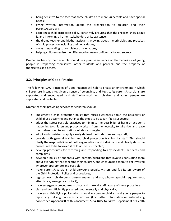- <span id="page-9-0"></span>• being sensitive to the fact that some children are more vulnerable and have special needs;
- giving written information about the organisation to children and their parents/guardians;
- adopting a child protection policy, sensitively ensuring that the children know about it, and informing all other stakeholders of its existence;
- the drama teacher and his/her assistants knowing about the principles and practices of child protection including their legal duties;
- always responding to complaints or allegations;
- helping children realise the difference between confidentiality and secrecy.

Drama teachers by their example should be a positive influence on the behaviour of young people in respecting themselves, other students and parents, and the property of themselves and others.

## **3.2. Principles of Good Practice**

The following IDAC Principles of Good Practice will help to create an environment in which children are listened to, given a sense of belonging, and kept safe; parents/guardians are supported and encouraged; and staff who work with children and young people are supported and protected.

Drama teachers providing services for children should:

- implement a child protection policy that raises awareness about the possibility of child abuse occurring and outlines the steps to be taken if it is suspected;
- adopt the safest possible practices to minimise the possibility of harm or accidents happening to children and protect workers from the necessity to take risks and leave themselves open to accusations of abuse or neglect;
- adopt and consistently apply clearly defined methods of recruiting staff;
- provide both general training and child protection training for staff. This should clarify the responsibilities of both organisations and individuals, and clearly show the procedures to be followed if child abuse is suspected;
- develop procedures for recording and responding to any incidents, accidents and complaints;
- develop a policy of openness with parents/guardians that involves consulting them about everything that concerns their children, and encouraging them to get involved wherever appropriate and possible;
- make parents/guardians, children/young people, visitors and facilitators aware of the Child Protection Policy and procedures;
- register each child/young person (name, address, phone, special requirements, attendance, emergency contact);
- have emergency procedures in place and make all staff aware of these procedures;
- plan and be sufficiently prepared, both mentally and physically;
- have an anti-bullying policy which should encourage children and young people to report any bullying, concerns or worries. (For further information on anti‐bullying policies see **[Appendix](#page-38-0) 8** of this document, **"***Our Duty to Care***"** (Department of Health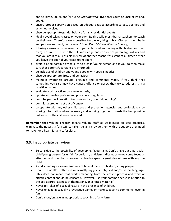and Children, 2002), and/or **"***Let's Beat Bullying***"** (National Youth Council of Ireland, 2007).

- <span id="page-10-0"></span>• ensure proper supervision based on adequate ratios according to age, abilities and activities involved;
- observe appropriate gender balance for any residential events;
- ideally avoid taking classes on your own. Realistically most drama teachers do teach on their own. Therefore were possible keep everything public. Classes should be in an open environment, i.e. have an "Open Door"/"Glass Window" policy;
- if taking classes on your own, (and particularly when dealing with children on their own), ensure this is with the full knowledge and consent of parents/guardians and that you are if at all possible in view of another teacher/assistant at all times or that you leave the door of your class room open;
- avoid if at all possible giving a lift to a child/young person and if you do then make sure that parents/guardians are informed;
- be inclusive of children and young people with special needs;
- observe appropriate dress and behaviour;
- maintain awareness around language and comments made. If you think that something you said may have caused offence or upset, then try to address it in a sensitive manner;
- evaluate work practices on a regular basis;
- update and review policies and procedures regularly;
- don't be passive in relation to concerns, i.e., don't 'do nothing';
- don't let a problem get out of control;
- co-operate with any other child care and protection agencies and professionals by sharing information when necessary and working together towards the best possible outcome for the children concerned.

**Remember that** valuing children means valuing staff as well: insist on safe practices, eliminate the necessity for staff to take risks and provide them with the support they need to make for a healthier and safer class.

## **3.3. Inappropriate behaviour**

- Be sensitive to the possibility of developing favouritism. Don't single out a particular child/young person for unfair favouritism, criticism, ridicule, or unwelcome focus or attention and don't become over involved or spend a great deal of time with any one child.
- Avoid spending excessive amounts of time alone with children/young people.
- Don't use or allow offensive or sexually suggestive physical and/or verbal language. (This does not mean that work emanating from the artistic process and work of artistic content should be censored. However, use your common sense in relation to the age‐appropriateness of themes and/or scripted material.)
- Never tell jokes of a sexual nature in the presence of children.
- Never engage in sexually provocative games or make suggestive comments, even in fun.
- Don't allow/engage in inappropriate touching of any form.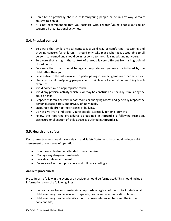- <span id="page-11-0"></span>• Don't hit or physically chastise children/young people or be in any way verbally abusive to a child.
- It is not recommended that you socialise with children/young people outside of structured organisational activities.

## **3.4. Physical contact**

- Be aware that while physical contact is a valid way of comforting, reassuring and showing concern for children, it should only take place when it is acceptable to all persons concerned and should be in response to the child's needs and not yours.
- Be aware that a hug in the context of a group is very different from a hug behind closed doors.
- Be aware that touch should be age appropriate and generally be initiated by the child rather than you.
- Be sensitive to the risks involved in participating in contact games or other activities.
- Check with children/young people about their level of comfort when doing touch exercises.
- Avoid horseplay or inappropriate touch.
- Avoid any physical activity which is, or may be construed as, sexually stimulating the adult or child.
- Respect children's privacy in bathrooms or changing rooms and generally respect the personal space, safety and privacy of individuals.
- Encourage children to report cases of bullying.
- Do not give lifts to individual young people, especially for long journeys.
- Follow the reporting procedures as outlined in **[Appendix](#page-33-0) 5** following suspicion, disclosure or allegation of child abuse as outlined in **[Appendix](#page-26-0) 1**.

## **3.5. Health and safety**

Each drama teacher should have a Health and Safety Statement that should include a risk assessment of each area of operation.

- Don't leave children unattended or unsupervised.
- Manage any dangerous materials.
- Provide a safe environment.
- Be aware of accident procedure and follow accordingly.

#### **Accident procedures:**

Procedures to follow in the event of an accident should be formulated. This should include information along the following lines:

- the drama teacher must maintain an up-to-date register of the contact details of all children/young people involved in speech, drama and communication classes;
- children/young people's details should be cross-referenced between the incident book and file;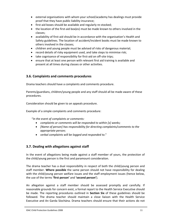- <span id="page-12-0"></span>• external organisations with whom your school/academy has dealings must provide proof that they have public liability insurance;
- first-aid boxes should be available and regularly re-stocked;
- the location of the first-aid box(es) must be made known to others involved in the classes;
- availability of first-aid should be in accordance with the organisation's Health and Safety guidelines. The location of accident/incident books must be made known to others involved in the classes;
- children and young people must be advised of risks of dangerous material;
- record details of risky equipment used, and take steps to minimise risk;
- take cognisance of responsibility for first‐aid on off‐site trips;
- ensure that at least one person with relevant first aid training is available and present at all times during classes or other activities.

## **3.6. Complaints and comments procedures**

Drama teachers should have a complaints and comments procedure.

Parents/guardians, children/young people and any staff should all be made aware of these procedures.

Consideration should be given to an appeals procedure.

Example of a simple complaints and comments procedure:

"*In the event of complaints or comments:* 

- *complaints or comments will be responded to within [x] weeks;*
- *[Name of person] has responsibility for directing complaints/comments to the appropriate person;*
- *verbal complaints will be logged and responded to*."

## **3.7. Dealing with allegations against staff**

In the event of allegations being made against a staff member of yours, the protection of the child/young person is the first and paramount consideration.

The drama teacher has a dual responsibility in respect of both the child/young person and staff member. **Where possible** the same person should not have responsibility for dealing with the child/young person welfare issues and the staff employment issues (hence below, the use of the terms **'first person'** and **'second person'**).

An allegation against a staff member should be assessed promptly and carefully. If reasonable grounds for concern exist, a formal report to the Health Service Executive should be made. The reporting procedures outlined in **[Section](#page-19-0) Six** of these guidelines should be followed. The drama teacher should maintain a close liaison with the Health Service Executive and An Garda Síochána. Drama teachers should ensure that their actions do not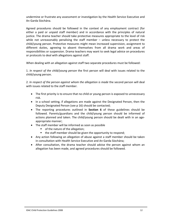undermine or frustrate any assessment or investigation by the Health Service Executive and An Garda Síochána.

Agreed procedures should be followed in the context of any employment contract (for either a paid or unpaid staff member) and in accordance with the principles of natural justice. The drama teacher should take protective measures appropriate to the level of risk while not unreasonably penalising the staff member - unless necessary to protect the child/young person. Protective measures might mean increased supervision, assignment to different duties, agreeing to absent themselves from all drama work and areas of responsibilities or suspension. Drama teachers may want to seek legal advice on procedures or protocols to deal with allegations against staff.

When dealing with an allegation against staff two separate procedures must be followed:

1. *In respect of the child/young person* the first person will deal with issues related to the child/young person.

2. *In respect of the person against whom the allegation is made* the second person will deal with issues related to the staff member.

- The first priority is to ensure that no child or young person is exposed to unnecessary risk.
- In a school setting, if allegations are made against the Designated Person, then the Deputy Designated Person (see p 16) should be contacted;
- The reporting procedures outlined in **[Section](#page-19-0) 6** of these guidelines should be followed. Parents/guardians and the child/young person should be informed of actions planned and taken. The child/young person should be dealt with in an age‐ appropriate manner;
- The staff member will be informed as soon as possible
	- of the nature of the allegation;
	- the staff member should be given the opportunity to respond;
- Any action following an allegation of abuse against a staff member should be taken in consultation with Health Service Executive and An Garda Síochána;
- After consultation, the drama teacher should advise the person against whom an allegation has been made, and agreed procedures should be followed.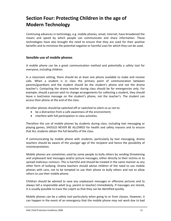# <span id="page-14-0"></span>**Section Four: Protecting Children in the age of Modern Technology**

Continuing advances in technology, e.g. mobile phones, email, internet, have broadened the means and speed by which people can communicate and share information. These technologies have also brought the need to ensure that they are used for their positive benefits and to minimise the potential negative or harmful uses for which they can be used.

## **Sensible use of mobile phones**

A mobile phone can be a great communication method and potentially a safety tool for everyone, including children.

In a classroom setting, there should be at least one phone available to make and receive calls. When a student is in class the primary point of communication between parents/guardians and the student should be the student's phone and not the drama teacher's. Contacting the drama teacher during class should be for emergencies only. For example, should a person wish to change arrangements for collecting a student, they should leave a text/voice message on the student's phone, not the teacher's. The student can access their phone at the end of the class.

All other phones should be switched off or switched to silent so as not to:

- be a distraction from a safe awareness of the environment;
- interfere with full participation in class activities.

Therefore the use of mobile phones by students during class, including text messaging or playing games, SHOULD NEVER BE ALLOWED for health and safety reasons and to ensure that ALL students obtain the full benefits of the class.

If communicating by mobile phone with students, particularly by text messaging, drama teachers should be aware of the younger age of the recipient and hence the possibility of misinterpretation.

Mobile phones are sometimes used by some people to bully others by sending threatening and unpleasant text messages and/or picture messages, either directly to their victims or to spread malicious rumours. This is harmful and should be treated in the same manner as any other form of bullying. Drama teachers should advise children of the need to use mobile phones with care, not to be tempted to use their phone to bully others and not to allow others to use their mobile phone.

Children should be advised to save any unpleasant messages or offensive pictures and to always tell a responsible adult (e.g. parent or teacher) immediately. If messages are stored, it is usually possible to trace the culprit so that they can be identified quickly.

Mobile phones can be a safety tool particularly when going to or from classes. However, it can happen in the event of an emergency that the mobile phone may not work due to bad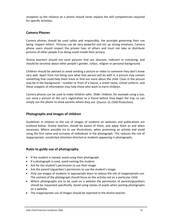reception so the reliance on a phone should never replace the skill competencies required for specific activities.

## **Camera Phones**

Camera phones should be used safely and responsibly, the principle governing their use being 'respect others'. Pictures can be very powerful and stir up strong emotions. Camera phone users should respect the private lives of others and must not take or distribute pictures of other people if so doing could invade their privacy.

Drama teachers should not send pictures that are obscene, indecent or menacing, and should be sensitive about other people's gender, colour, religion or personal background.

Children should be advised to avoid sending a picture or video to someone they don't know very well. Apart from not being sure what that person will do with it, a picture may contain something that could help them trace or find out more about the child. Clues in the picture may be in the background – number or front of a house, a street name, school uniform, and these snippets of information may help those who want to harm children.

Camera phones can be used to make children safer. Older children, for example using a taxi, can send a picture of the car's registration to a friend before they begin the trip, or can simply use the phone to show parents where they are. (*Source: O2 Child Protection*).

## **Photographs and images of children**

Guidelines in relation to the use of images of students on websites and publications are outlined below. Drama teachers should be aware of them, and apply them as and when necessary. Where possible try to use illustrations, when promoting an activity and avoid using the first name and surname of individuals in the photograph. This reduces the risk of inappropriate, unsolicited attention directed at students appearing in photographs.

## **Rules to guide use of photography**

- If the student is named, avoid using their photograph.
- If a photograph is used, avoid naming the student.
- Ask for the student's permission to use their image.
- Ask the parent's/guardian's permission to use the student's image.
- Only use images of students in appropriate dress to reduce the risk of inappropriate use. The content of the photograph should focus on the activity not on a particular child.
- Where photographs are to be used on a website the permission of parents/guardians should be requested specifically. Avoid using names of pupils when posting photographs on a website.
- The inappropriate use of images should be reported to the drama teacher.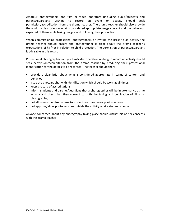Amateur photographers and film or video operators (including pupils/students and parents/guardians) wishing to record an event or activity should seek permission/accreditation from the drama teacher. The drama teacher should also provide them with a clear brief on what is considered appropriate image content and the behaviour expected of them while taking images, and following their production.

When commissioning professional photographers or inviting the press to an activity the drama teacher should ensure the photographer is clear about the drama teacher's expectations of his/her in relation to child protection. The permission of parents/guardians is advisable in this regard.

Professional photographers and/or film/video operators wishing to record an activity should seek permission/accreditation from the drama teacher by producing their professional identification for the details to be recorded. The teacher should then:

- provide a clear brief about what is considered appropriate in terms of content and behaviour;
- issue the photographer with identification which should be worn at all times;
- keep a record of accreditations;
- inform students and parents/guardians that a photographer will be in attendance at the activity and check that they consent to both the taking and publication of films or photographs;
- not allow unsupervised access to students or one-to-one photo sessions;
- not approve/allow photo sessions outside the activity or at a student's home.

Anyone concerned about any photography taking place should discuss his or her concerns with the drama teacher.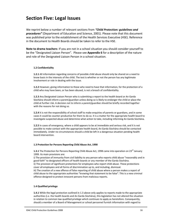# <span id="page-17-0"></span>**Section Five: Legal Issues**

We reprint below a number of relevant sections from *"Child Protection: guidelines and procedures"* (Department of Education and Science, 2001). Please note that this document was published prior to the establishment of the Health Services Executive (HSE). Reference in the document to Health Boards should be taken to refer to the HSE.

**Note to drama teachers**: If you are not in a school situation you should consider yourself to be the "Designated Liaison Person". Please see **[Appendix](#page-36-0) 6** for a description of the nature and role of the Designated Liaison Person in a school situation.

#### **1.2 Confidentiality**

**1.2.1** All information regarding concerns of possible child abuse should only be shared on a need to know basis in the interests of the child. The test is whether or not the person has any legitimate involvement or role in dealing with the issue.

**1.2.2** However, giving information to those who need to have that information, for the protection of a child who may have been, or has been abused, is not a breach of confidentiality.

**1.2.3** Any Designated Liaison Person who is submitting a report to the health board or An Garda Síochána should inform a parent/guardian unless doing so is likely to endanger the child or place the child at further risk. A decision not to inform a parent/guardian should be briefly recorded together with the reasons for not doing so.

**1.2.4** It is not the responsibility of school staff to make enquiries of parents or guardians, and in some cases it could be counter‐productive for them to do so. It is a matter for the appropriate health board to investigate suspected abuse and determine what action to take, including informing An Garda Síochána.

**1.2.5** In cases of emergency, where a child appears to be at immediate and serious risk, and it is not possible to make contact with the appropriate health board, An Garda Síochána should be contacted immediately. Under no circumstances should a child be left in a dangerous situation pending health board intervention.

#### **1.3 Protection for Persons Reporting Child Abuse Act, 1998**

**1.3.1** The Protection for Persons Reporting Child Abuse Act, 1998 came into operation on 23<sup>rd</sup> January 1999. Its main provisions are:

i) The provision of immunity from civil liability to any person who reports child abuse "reasonably and in good faith" to designated officers of health boards or any member of the Garda Síochána. ii) The provision of significant protections for employees who report child abuse. These protections cover all employees and all forms of discrimination up to, and including, dismissal. iii) The creation of a new offence of false reporting of child abuse where a person makes a report of child abuse to the appropriate authorities "knowing that statement to be false". This is a new criminal offence designed to protect innocent persons from malicious reports.

#### **1.4 Qualified privilege**

**1.4.1** While the legal protection outlined in 1.3 above only applies to reports made to the appropriate authorities (i.e. the health boards and An Garda Síochána), this legislation has not altered the situation in relation to common law qualified privilege which continues to apply as heretofore. Consequently, should a member of a Board of Management or school personnel furnish information with regard to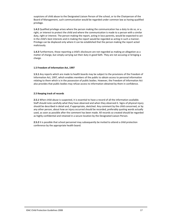suspicions of child abuse to the Designated Liaison Person of the school, or to the Chairperson of the Board of Management, such communication would be regarded under common law as having qualified privilege.

**1.4.2** Qualified privilege arises where the person making the communication has a duty to do so, or a right, or interest to protect the child and where the communication is made to a person with a similar duty, right or interest. The person making the report, acting in loco parentis, would be expected to act in the child's best interests and in making the report would be regarded as acting in such a manner. Privilege can be displaced only where it can be established that the person making the report acted maliciously.

**1.4.3** Furthermore, those reporting a child's disclosure are not regarded as making an allegation as a matter of charge, but simply carrying out their duty in good faith. They are not accusing or bringing a charge.

#### **1.5 Freedom of Information Act, 1997**

**1.5.1** Any reports which are made to health boards may be subject to the provisions of the Freedom of Information Act, 1997, which enables members of the public to obtain access to personal information relating to them which is in the possession of public bodies. However, the Freedom of Information Act also provides that public bodies may refuse access to information obtained by them in confidence.

#### **2.5 Keeping track of records**

**2.5.1** When child abuse is suspected, it is essential to have a record of all the information available. Staff should note carefully what they have observed and when they observed it. Signs of physical injury should be described in detail and, if appropriate, sketched. Any comment by the child concerned, or by any other person, about how an injury occurred should be recorded, preferably quoting words actually used, as soon as possible after the comment has been made. All records so created should be regarded as highly confidential and retained in a secure location by the Designated Liaison Person.

**2.5.2** It is possible that school personnel may subsequently be invited to attend a child protection conference by the appropriate health board.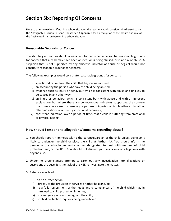# <span id="page-19-0"></span>**Section Six: Reporting Of Concerns**

**Note to drama teachers**: If not in a school situation the teacher should consider him/herself to be the "Designated Liaison Person". Please see **[Appendix](#page-36-0) 6** for a description of the nature and role of the Designated Liaison Person in a school situation

#### **Reasonable Grounds for Concern**

The statutory authorities should always be informed when a person has reasonable grounds for concern that a child may have been abused, or is being abused, or is at risk of abuse. A suspicion that is not supported by any objective indicator of abuse or neglect would not constitute reasonable grounds for concern.

The following examples would constitute reasonable grounds for concern:

- i) specific indication from the child that he/she was abused;
- ii) an account by the person who saw the child being abused;
- iii) evidence such as injury or behaviour which is consistent with abuse and unlikely to be caused in any other way;
- iv) an injury or behaviour which is consistent both with abuse and with an innocent explanation but where there are corroborative indicators supporting the concern that it may be a case of abuse, e.g. a pattern of injuries, an implausible explanation, other indications of abuse, dysfunctional behaviour;
- v) consistent indication, over a period of time, that a child is suffering from emotional or physical neglect.

#### **How should I respond to allegations/concerns regarding abuse?**

- 1. You should report it immediately to the parent/guardian of the child unless doing so is likely to endanger the child or place the child at further risk. You should inform the person in the school/community setting designated to deal with matters of child protection and/or the HSE. You should not discuss your suspicions or allegations with anyone else.
- 2. Under no circumstances attempt to carry out any investigation into allegations or suspicions of abuse. It is the task of the HSE to investigate the matter.
- 3. Referrals may lead:
	- i) to no further action;
	- ii) directly to the provision of services or other help and/or;
	- iii) to a fuller assessment of the needs and circumstances of the child which may in turn lead to child protection inquiries;
	- iv) to emergency action to safeguard the child;
	- v) to child protection inquiries being undertaken.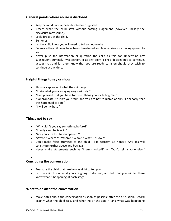## **General points where abuse is disclosed**

- Keep calm ‐ do not appear shocked or disgusted
- Accept what the child says without passing judgement (however unlikely the disclosure may sound).
- Look directly at the child.
- Be honest.
- Let the child know you will need to tell someone else.
- Be aware the child may have been threatened and fear reprisals for having spoken to you.
- Never push for information or question the child as this can undermine any subsequent criminal, investigation. If at any point a child decides not to continue, accept that and let them know that you are ready to listen should they wish to continue at any time.

## **Helpful things to say or show**

- Show acceptance of what the child says.
- "I take what you are saying very seriously."
- "I am pleased that you have told me. Thank you for telling me."
- If appropriate, "it isn't your fault and you are not to blame at all", "I am sorry that this happened to you."
- "I will do my best."

## **Things not to say**

- "Why didn't you say something before?"
- "I really can't believe it."
- "Are you sure this has happened?"
- "Why?" "Where?" "When?" "Who?" "What?" "How?"
- Don't make false promises to the child like secrecy. Be honest. Any lies will constitute further abuse and betrayal.
- Never make statements such as "I am shocked!" or "Don't tell anyone else."

#### •

## **Concluding the conversation**

- Reassure the child that he/she was right to tell you.
- Let the child know what you are going to do next, and tell that you will let them know what is happening at each stage.

## **What to do after the conversation**

• Make notes about the conversation as soon as possible after the discussion. Record exactly what the child said, and when he or she said it, and what was happening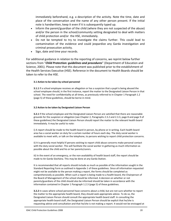immediately beforehand, e.g. a description of the activity. Note the time, date and place of the conversation and the name of any other person present. If the initial note is handwritten, keep it even if it is subsequently typed up.

- Inform the parent/guardian of the child (where they are not suspected of the abuse) and/or the person in the school/community setting designated to deal with matters of child protection and/or the HSE, immediately.
- Do not be tempted to try to investigate the claims further. This could lead to contamination of the evidence and could jeopardize any Garda investigation and criminal prosecution activity.
- Sign, date and time your records.

For additional guidance in relation to the reporting of concerns, we reprint below further sections from "*Child Protection: guidelines and procedures*" (Department of Education and Science, 2001). Please note that this document was published prior to the establishment of the Health Services Executive (HSE). Reference in the document to Health Boards should be taken to refer to the HSE.

#### **3.1 Action to be taken by school personnel**

**3.1.1** If a school employee receives an allegation or has a suspicion that a pupil is being abused the school employee should, in the first instance, report the matter to the Designated Liaison Person in that school. The need for confidentiality at all times, as previously referred to in Chapter 1 Paragraph 1.2 (page 5) of these guidelines, should be borne in mind.

#### **3.2 Action to be taken by Designated Liaison Person**

**3.2.1** If the school employee and the Designated Liaison Person are satisfied that there are reasonable grounds for the suspicion or allegation (see Chapter 2, Paragraphs 2.3.2 and 2.3.3, page 8 and page 9 of these guidelines) the Designated Liaison Person should report the matter to the relevant health board immediately. It may be useful to note:

i) A report should be made to the health board in person, by phone or in writing. Each health board area has a social worker on duty for a certain number of hours each day. The duty social worker is available to meet with, or talk on the telephone, to persons wishing to report child protection concerns.

ii) It is generally most helpful if persons wishing to report child abuse concerns make personal contact with the duty social worker. This will facilitate the social worker in gathering as much information as possible about the child and his or her parents/carers.

iii) In the event of an emergency, or the non-availability of health board staff, the report should be made to An Garda Síochána. This may be done at any Garda Station.

It is recommended that all reports should include as much as possible of the information sought in the Standard Reporting Form as outlined in Appendix 1 of these guidelines. Since all information requested might not be available to the person making a report, the forms should be completed as comprehensively as possible. When such a report is being made to a health board, the Chairperson of the Board of Management of the school should be informed. A decision on whether or not parents/guardians of the child should also be informed should be taken in accordance with the information contained in Chapter 1 Paragraph 1.2.3 (page 5) of these guidelines.

**3.2.2** In cases where school personnel have concerns about a child, but are not sure whether to report the matter to the appropriate health board, they should seek appropriate advice. To do so, the Designated Liaison Person should consult the appropriate health board staff. In consulting the appropriate health board staff, the Designated Liaison Person should be explicit that he/she is requesting advice and consultation and that he/she is not making a report. It would not be envisaged at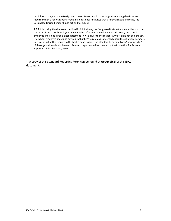this informal stage that the Designated Liaison Person would have to give identifying details as are required when a report is being made. If a health board advises that a referral should be made, the Designated Liaison Person should act on that advice.

**3.2.3** If following the discussion outlined in 3.2.2 above, the Designated Liaison Person decides that the concerns of the school employee should not be referred to the relevant health board, the school employee should be given a clear statement, in writing, as to the reasons why action is not being taken. The school employee should be advised that, if he/she remains concerned about the situation, he/she is free to consult with or report to the health board. Again, the Standard Reporting Form\* at Appendix 1 of these guidelines should be used. Any such report would be covered by the Protection for Persons Reporting Child Abuse Act, 1998.

\* A copy of this Standard Reporting Form can be found at **[Appendix](#page-33-0) 5** of this IDAC document.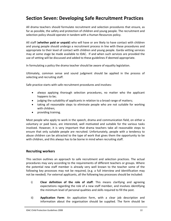# <span id="page-23-0"></span>**Section Seven: Developing Safe Recruitment Practices**

All drama teachers should formulate recruitment and selection procedures that ensure, as far as possible, the safety and protection of children and young people. The recruitment and selection policy should operate in tandem with a Human Resources policy.

All staff (**whether paid or unpaid**) who will have or are likely to have contact with children and young people should undergo a recruitment process in line with these procedures and appropriate to their level of contact with children and young people. Garda vetting services may at some stage be made available to IDAC. If and when such services are provided the use of vetting will be discussed and added to these guidelines if deemed appropriate.

In formulating a policy the drama teacher should be aware of equality legislation.

Ultimately, common sense and sound judgment should be applied in the process of selecting and recruiting staff.

Safe practice starts with safe recruitment procedures and involves:

- always applying thorough selection procedures, no matter who the applicant happens to be;
- judging the suitability of applicants in relation to a broad range of matters;
- taking all reasonable steps to eliminate people who are not suitable for working with children;
- providing training.

Most people who apply to work in the speech, drama and communication field, on either a voluntary or paid basis, are interested, well motivated and suitable for the various tasks involved. However, it is very important that drama teachers take all reasonable steps to ensure that only suitable people are recruited. Unfortunately, people with a tendency to abuse children can be attracted to the type of work that gives them the opportunity to be with children, and this always has to be borne in mind when recruiting staff.

## **Recruiting workers**

This section outlines an approach to safe recruitment and selection practices. The actual procedures may vary according to the requirements of different teachers or groups. Where the potential new staff member is already very well known to the teacher some of the following key processes may not be required, (e.g. a full interview and identification may not be needed). For external applicants, all the following key processes should be included:

- i) **Clear definition of the role of staff**: This means clarifying and agreeing expectations regarding the role of a new staff member, and involves identifying the minimum level of personal qualities and skills required to fill the post.
- ii) **Application Form**: An application form, with a clear job description and information about the organisation should be supplied. The form should be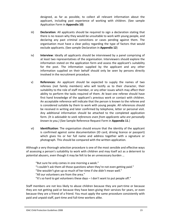designed, as far as possible, to collect all relevant information about the applicant, including past experience of working with children. (See sample Application Form in **[Appendix](#page-42-0) 10)**

- iii) **Declaration**: All applicants should be required to sign a declaration stating that there is no reason why they would be unsuitable to work with young people, and declaring any past criminal convictions or cases pending against them. The organisation must have a clear policy regarding the type of factors that would exclude applicants. (See sample Declaration in **[Appendix](#page-45-0) 12**)
- iv) **Interview**: Ideally all applicants should be interviewed by a panel comprising of at least two representatives of the organisation. Interviewers should explore the information stated on the application form and assess the applicant's suitability for the post. The information supplied by the applicant and any other information supplied on their behalf should only be seen by persons directly involved in the recruitment procedure.
- v) **References**: An applicant should be expected to supply the names of two referees (not family members) who will testify as to their character, their suitability to the role of staff member, or any other issues which may affect their ability to perform the tasks required of them. At least one referee should have first hand knowledge of the applicant's previous work or contact with children. An acceptable reference will indicate that the person is known to the referee and is considered suitable by them to work with young people. All references should be received in writing and later confirmed by telephone, letter or personal visit. Any additional information should be attached to the completed application form. *(It is advisable to seek references even from applicants who are personally known to you.)* (See Sample Reference Request Form in **[Appendix](#page-44-0) 11**.)
- vi) **Identification**: The organisation should ensure that the identity of the applicant is confirmed against some documentation (ID card, driving licence or passport) which gives his or her full name and address together with a signature or photograph. This should be compared with the written application.

Although a very thorough selection procedure is one of the most sensible and effective ways of assessing a person's suitability to work with children and may itself act as a deterrent to potential abusers, even though it may be felt to be an unnecessary burden …

"But sure he only comes in one morning a week." "I couldn't ask them all those questions when they're not even getting paid." "She wouldn't give up so much of her time if she didn't mean well." "All our volunteers are from the area." "It's so hard to get volunteers these days  $-1$  don't want to put people off."

Staff members are not less likely to abuse children because they are part‐time or because they are not getting paid or because they have been giving their services for years, or even because they are a friend of a friend. You must apply the same procedure consistently with paid and unpaid staff, part‐time and full‐time workers alike.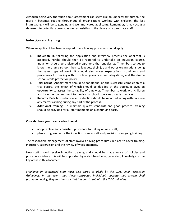Although being very thorough about assessment can seem like an unnecessary burden, the more it becomes routine throughout all organisations working with children, the less intimidating it will be to genuine and well‐motivated applicants. Remember, it may act as a deterrent to potential abusers, as well as assisting in the choice of appropriate staff.

## **Induction and training**

When an applicant has been accepted, the following processes should apply:

- i. **Induction**: If, following the application and interview process the applicant is accepted, he/she should then be required to undertake an induction course. Induction should be a planned programme that enables staff members to get to know the drama school, their colleagues, their job and other organisations doing the same type of work. It should also cover expectations, conditions and procedures for dealing with discipline, grievances and allegations, and the drama school's child protection policy.
- ii. **Trial period**: Appointment should be conditional on the successful completion of a trial period, the length of which should be decided at the outset. It gives an opportunity to assess the suitability of a new staff member to work with children and his or her commitment to the drama school's policies on safe practices.
- iii. **Records**: Details of selection and induction should be recorded, along with notes on any matters arising during any part of the process.
- iv. **Additional training**: To maintain quality standards and good practice, training should be provided for all staff members on a continuing basis.

#### **Consider how your drama school could:**

- adopt a clear and consistent procedure for taking on new staff;
- plan a programme for the induction of new staff and provision of ongoing training.

The responsible management of staff involves having procedures in place to cover training, induction, supervision and the review of work practices.

New staff should receive induction training and should be made aware of policies and procedures, ideally this will be supported by a staff handbook, (as a start, knowledge of the key areas in this document).

*Freelance or contracted staff must also agree to abide by the IDAC Child Protection Guidelines. In the event that these contracted individuals operate their known child protection policy, they must ensure that it is consistent with the IDAC guidelines.*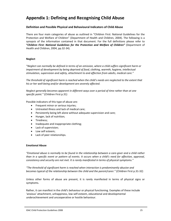# <span id="page-26-0"></span>**Appendix 1: Defining and Recognising Child Abuse**

#### **Definition and Possible Physical and Behavioural Indicators of Child Abuse**

There are four main categories of abuse as outlined in "Children First: National Guidelines for the Protection and Welfare of Children" (Department of Health and Children, 2004). The following is a synopsis of the information contained in that document. For the full definitions please refer to **"***Children First: National Guidelines for the Protection and Welfare of Children"* (Department of Health and Children, 2004, pp.32‐34).

#### **Neglect**

"*Neglect can normally be defined in terms of an omission, where a child suffers significant harm or impairment of development by being deprived of food, clothing, warmth, hygiene, intellectual stimulation, supervision and safety, attachment to and affection from adults, medical care."*

*The threshold of significant harm is reached when the child's needs are neglected to the extent that his or her well‐being and/or development are severely affected*.

*Neglect generally becomes apparent in different ways over a period of time rather than at one specific point."* (Children First p.31)

Possible indicators of this type of abuse are:

- Frequent minor or serious injuries;
- Untreated illness and lack of medical care;
- Persistently being left alone without adequate supervision and care;
- Hunger, lack of nutrition;
- Tiredness;
- Inadequate and inappropriate clothing;
- Lack of supervision;
- Low self esteem;
- Lack of peer relationships.

#### **Emotional Abuse**

"Emotional abuse is normally to be found in the relationship between a care-giver and a child rather than in a specific event or pattern of events. It occurs when a child's need for affection, approval, *consistency and security are not met. It is rarely manifested in terms of physical symptoms."* 

*"The threshold of significant harm is reached when interaction is predominantly abusive and becomes typical of the relationship between the child and the parent/carer."* (Children First p.31‐32)

Unless other forms of abuse are present, it is rarely manifested in terms of physical signs or symptoms.

Rather, it can manifest in the child's behaviour or physical functioning. Examples of these include 'anxious' attachment, unhappiness, low self‐esteem, educational and developmental underachievement and uncooperative or hostile behaviour.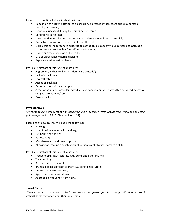Examples of emotional abuse in children include:

- Imposition of negative attributes on children, expressed by persistent criticism, sarcasm, hostility or blaming;
- Emotional unavailability by the child's parent/carer;
- Conditional parenting;
- Unresponsiveness, inconsistent or inappropriate expectations of the child;
- Premature imposition of responsibility on the child;
- Unrealistic or inappropriate expectations of the child's capacity to understand something or to behave and control him/herself in a certain way;
- Under or over-protection of the child:
- Use of unreasonably harsh discipline;
- Exposure to domestic violence.

Possible indicators of this type of abuse are:

- Aggression, withdrawal or an 'I don't care attitude';
- Lack of attachment;
- Low self esteem;
- Attention seeking;
- Depression or suicide attempts;
- A fear of adults or particular individuals e.g. family member, baby‐sitter or indeed excessive clinginess to parents/carers;
- Panic attacks.

#### **Physical Abuse**

"Physical abuse is any form of non-accidental injury or injury which results from wilful or neglectful *failure to protect a child."* (Children First p.32)

Examples of physical injury include the following:

- Shaking;
- Use of deliberate force in handling;
- Deliberate poisoning;
- Suffocation;
- Munchausen's syndrome by proxy;
- Allowing or creating a substantial risk of significant physical harm to a child.

Possible indicators of this type of abuse are:

- Frequent bruising, fractures, cuts, burns and other injuries;
- Torn clothing;
- Bite marks burns or welts;
- Bruises in places difficult to mark e.g. behind ears, groin;
- Undue or unnecessary fear;
- Aggressiveness or withdrawn;
- Absconding frequently from home.

#### **Sexual Abuse**

*"Sexual abuse occurs when a child is used by another person for his or her gratification or sexual arousal or for that of others."* (Children First p.33)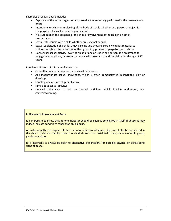Examples of sexual abuse include:

- Exposure of the sexual organs or any sexual act intentionally performed in the presence of a child;
- Intentional touching or molesting of the body of a child whether by a person or object for the purpose of sexual arousal or gratification;
- Masturbation in the presence of the child or involvement of the child in an act of masturbation;
- Sexual intercourse with a child whether oral, vaginal or anal;
- Sexual exploitation of a child … may also include showing sexually explicit material to children which is often a feature of the 'grooming' process by perpetrators of abuse;
- Consensual sexual activity involving an adult and an under‐age person. It is an offence to engage in a sexual act, or attempt to engage in a sexual act with a child under the age of 17 years.

Possible indicators of this type of abuse are:

- Over affectionate or inappropriate sexual behaviour;
- Age inappropriate sexual knowledge, which is often demonstrated in language, play or drawings;
- Fondling or exposure of genital areas;
- Hints about sexual activity;
- Unusual reluctance to join in normal activities which involve undressing, e.g. games/swimming.

#### **Indicators of Abuse are Not Facts**

It is important to stress that no one indicator should be seen as conclusive in itself of abuse; it may indeed indicate conditions other than child abuse.

A cluster or pattern of signs is likely to be more indicative of abuse. Signs must also be considered in the child's social and family context as child abuse is not restricted to any socio economic group, gender or culture.

It is important to always be open to alternative explanations for possible physical or behavioural signs of abuse.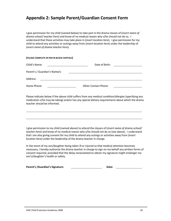# <span id="page-29-0"></span>**Appendix 2: Sample Parent/Guardian Consent Form**

I give permission for my child (named below) to take part in the drama classes of (*insert name of drama school/ teacher here*) and know of no medical reason why s/he should not do so. I understand that these activities may take place in (*insert location here*). I give permission for my child to attend any activities or outings away from (*insert location here*) under the leadership of (*insert name of drama teacher here*).

#### **(PLEASE COMPLETE IN PEN IN BLOCK CAPITALS)**

| Child's Name:                 | Date of Birth:              |
|-------------------------------|-----------------------------|
| Parent's / Guardian's Name/s: |                             |
| Address:                      |                             |
| Home Phone:                   | <b>Other Contact Phone:</b> |

Please indicate below if the above child suffers from any medical condition/allergies (specifying any medication s/he may be taking) and/or has any special dietary requirements about which the drama teacher should be informed.

I give permission to my child (named above) to attend the classes of (*insert name of drama school/ teacher here*) and know of no medical reason why s/he should not do so (see above). I understand that I am also giving consent for my child to attend any outings or activities away from (*insert location here)* under the leadership of the drama teacher in charge.

In the event of my son/daughter being taken ill or injured so that medical attention becomes necessary, I hereby authorise the drama teacher in charge to sign on my behalf any written forms of consent required, provided that the delay necessitated to obtain my signature might endanger my son's/daughter's health or safety.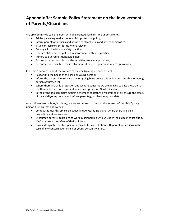# <span id="page-30-0"></span>**Appendix 3a: Sample Policy Statement on the Involvement of Parents/Guardians**

We are committed to being open with all parents/guardians. We undertake to:

- Advise parents/guardians of our child protection policy;
- Inform parents/guardians and schools of all activities and potential activities;
- Issue contact/consent forms where relevant;
- Comply with health and safety practices;
- Operate child‐centred policies in accordance with best practice;
- Adhere to our recruitment guidelines;
- Ensure as far as possible that the activities are age-appropriate;
- Encourage and facilitate the involvement of parents/guardians where appropriate.

If we have concerns about the welfare of the child/young person, we will:

- Respond to the needs of the child or young person;
- Inform the parents/guardians on an on-going basis unless this action puts the child or young person at further risk;
- Where there are child protection and welfare concerns we are obliged to pass these on to the Health Service Executive and, in an emergency, An Garda Síochána;
- In the event of a complaint against a member of staff, we will immediately ensure the safety of the child/young person and inform parents/guardians as appropriate.

As a child-centred school/academy, we are committed to putting the interest of the child/young person first. To that end we will:

- Contact the Health Service Executive and An Garda Síochána where there is a child protection welfare concern;
- Encourage parents/guardians to work in partnership with us under the guidelines set out by IDAC to ensure the safety of their children;
- Have a designated contact person available for consultation with parents/guardians in the case of any concern over a child or young person's welfare.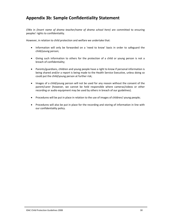# <span id="page-31-0"></span>**Appendix 3b: Sample Confidentiality Statement**

I/We in *(Insert name of drama teacher/name of drama school here)* are committed to ensuring peoples' rights to confidentiality.

However, in relation to child protection and welfare we undertake that:

- Information will only be forwarded on a 'need to know' basis in order to safeguard the child/young person;
- Giving such information to others for the protection of a child or young person is not a breach of confidentiality;
- Parents/guardians, children and young people have a right to know if personal information is being shared and/or a report is being made to the Health Service Executive, unless doing so could put the child/young person at further risk;
- Images of a child/young person will not be used for any reason without the consent of the parent/carer (however, we cannot be held responsible where cameras/videos or other recording or audio equipment may be used by others in breach of our guidelines).
- Procedures will be put in place in relation to the use of images of children/ young people;
- Procedures will also be put in place for the recording and storing of information in line with our confidentiality policy.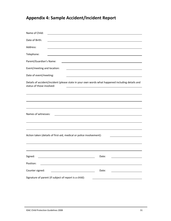# <span id="page-32-0"></span>**Appendix 4: Sample Accident/Incident Report**

| Name of Child:                                                                                                                |
|-------------------------------------------------------------------------------------------------------------------------------|
| Date of Birth:                                                                                                                |
| Address:                                                                                                                      |
| Telephone:                                                                                                                    |
| Parent/Guardian's Name:<br><u> 1989 - Johann Stoff, Amerikaansk politiker († 1908)</u>                                        |
| Event/meeting and location:                                                                                                   |
| Date of event/meeting:<br><u> 1989 - Johann Barbara, martxa alemaniar a</u>                                                   |
| Details of accident/incident (please state in your own words what happened including details and<br>status of those involved: |
|                                                                                                                               |
|                                                                                                                               |
|                                                                                                                               |
| Names of witnesses:<br><u> 1980 - Johann Barn, fransk politik (f. 1980)</u>                                                   |
|                                                                                                                               |
|                                                                                                                               |
| Action taken (details of first-aid, medical or police involvement):                                                           |
|                                                                                                                               |
|                                                                                                                               |
| Signed:<br>Date:                                                                                                              |
| Position:                                                                                                                     |
| Counter signed:<br>Date:                                                                                                      |
| Signature of parent (if subject of report is a child):                                                                        |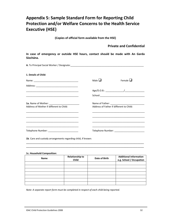# <span id="page-33-0"></span>**Appendix 5: Sample Standard Form for Reporting Child Protection and/or Welfare Concerns to the Health Service Executive (HSE)**

**(Copies of official form available from the HSE)**

### **Private and Confidential**

**In case of emergency or outside HSE hours, contact should be made with An Garda Síochána.**

| 1. Details of Child:                          |             |                                          |
|-----------------------------------------------|-------------|------------------------------------------|
|                                               | Male $\Box$ | Female $\Box$                            |
|                                               |             |                                          |
|                                               |             |                                          |
|                                               |             |                                          |
|                                               |             |                                          |
| Address of Mother if different to Child:      |             | Address of Father if different to Child: |
|                                               |             |                                          |
|                                               |             |                                          |
|                                               |             |                                          |
| Telephone Number: ___________________________ |             |                                          |

**1c. Household Composition:**

| Name | <b>Relationship to</b><br>Date of Birth<br><b>Child</b> |  | <b>Additional Information</b><br>e.g. School / Occupation |
|------|---------------------------------------------------------|--|-----------------------------------------------------------|
|      |                                                         |  |                                                           |
|      |                                                         |  |                                                           |
|      |                                                         |  |                                                           |
|      |                                                         |  |                                                           |
|      |                                                         |  |                                                           |
|      |                                                         |  |                                                           |
|      |                                                         |  |                                                           |

\_\_\_\_\_\_\_\_\_\_\_\_\_\_\_\_\_\_\_\_\_\_\_\_\_\_\_\_\_\_\_\_\_\_\_\_\_\_\_\_\_\_\_\_\_\_\_\_\_\_\_\_\_\_\_\_\_\_\_\_\_\_\_\_\_\_\_\_\_\_\_\_\_\_\_ \_\_\_\_\_\_\_\_\_\_\_\_\_\_\_\_\_\_\_\_\_\_\_\_\_\_\_\_\_\_\_\_\_\_\_\_\_\_\_\_\_\_\_\_\_\_\_\_\_\_\_\_\_\_\_\_\_\_\_\_\_\_\_\_\_\_\_\_\_\_\_\_\_\_\_

*Note: A separate report form must be completed in respect of each child being reported.*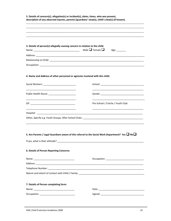| 3. Details of person(s) allegedly causing concern in relation to the child:  |                                                                                                             |
|------------------------------------------------------------------------------|-------------------------------------------------------------------------------------------------------------|
|                                                                              | Male $\Box$ Female $\Box$<br>Age: ________                                                                  |
|                                                                              |                                                                                                             |
|                                                                              |                                                                                                             |
|                                                                              |                                                                                                             |
|                                                                              |                                                                                                             |
| 4. Name and Address of other personnel or agencies involved with this child: |                                                                                                             |
|                                                                              |                                                                                                             |
|                                                                              |                                                                                                             |
| Public Health Nurse: _________________________                               |                                                                                                             |
|                                                                              |                                                                                                             |
|                                                                              | Pre-School / Crèche / Youth Club:                                                                           |
|                                                                              |                                                                                                             |
|                                                                              |                                                                                                             |
|                                                                              |                                                                                                             |
|                                                                              |                                                                                                             |
|                                                                              |                                                                                                             |
|                                                                              |                                                                                                             |
|                                                                              |                                                                                                             |
|                                                                              | 5. Are Parents / Legal Guardians aware of this referral to the Social Work Department? Yes $\Box$ No $\Box$ |
|                                                                              |                                                                                                             |
|                                                                              |                                                                                                             |
|                                                                              |                                                                                                             |
| 6. Details of Person Reporting Concerns:                                     |                                                                                                             |
|                                                                              |                                                                                                             |
|                                                                              |                                                                                                             |
|                                                                              |                                                                                                             |
|                                                                              |                                                                                                             |
|                                                                              |                                                                                                             |
| 7. Details of Person completing form:                                        |                                                                                                             |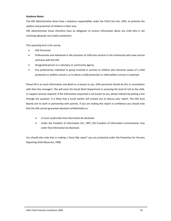#### **Guidance Notes:**

The HSE Administrative Areas have a statutory responsibility under the Child Care Act, 1991, to promote the welfare and protection of children in their area.

HSE Administrative Areas therefore have an obligation to receive information about any child who is not receiving adequate care and/or protection.

This reporting form is for use by:

- **HSE Personnel**
- Professionals and individuals in the provision of child care services in the community who have service contracts with the HSE
- Designated person in a voluntary or community agency
- Any professional, individual or group involved in services to children who becomes aware of a child protection or welfare concern, or to whom a child protection or child welfare concern is reported.

Please fill in as much information and detail as is known to you. (HSE personnel should do this in consultation with their line manager). This will assist the Social Work Department in assessing the level of risk to the child, or support services required. If the information requested is not known to you, please indicate by putting a line through the question. It is likely that a social worker will contact you to discuss your report. The HSE Area Boards aim to work in partnership with parents. If you are making this report in confidence you should note that the HSE cannot guarantee absolute confidentiality as:

- A Court could order that information be disclosed.
- Under the Freedom of Information Act, 1997, the Freedom of Information Commissioner may order that information be disclosed.

You should also note that in making a 'bona fide report' you are protected under the Protection for Persons Reporting Child Abuse Act, 1998.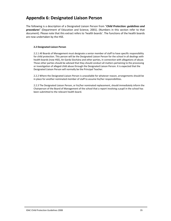# <span id="page-36-0"></span>**Appendix 6: Designated Liaison Person**

The following is a description of a Designated Liaison Person from "*Child Protection: guidelines and procedures*" (Department of Education and Science, 2001). (Numbers in this section refer to that document). Please note that this extract refers to 'health boards'. The functions of the health boards are now undertaken by the HSE.

#### **2.2 Designated Liaison Person**

2.2.1 All Boards of Management must designate a senior member of staff to have specific responsibility for child protection. This person will be the Designated Liaison Person for the school in all dealings with health boards (now HSE), An Garda Síochána and other parties, in connection with allegations of abuse. Those other parties should be advised that they should conduct all matters pertaining to the processing or investigation of alleged child abuse through the Designated Liaison Person. It is expected that the Designated Liaison Person will normally be the Principal Teacher.

2.2.2 Where the Designated Liaison Person is unavailable for whatever reason, arrangements should be in place for another nominated member of staff to assume his/her responsibilities.

2.2.3 The Designated Liaison Person, or his/her nominated replacement, should immediately inform the Chairperson of the Board of Management of the school that a report involving a pupil in the school has been submitted to the relevant health board.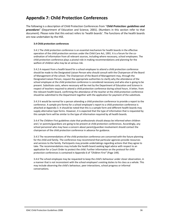# <span id="page-37-0"></span>**Appendix 7: Child Protection Conferences**

The following is a description of Child Protection Conferences from "*Child Protection: guidelines and procedures*" (Department of Education and Science, 2001). (Numbers in this section refer to that document). Please note that this extract refers to 'health boards'. The functions of the health boards are now undertaken by the HSE.

#### **3.4 Child protection conferences**

3.4.1 The child protection conference is an essential mechanism for health boards in the effective operation of the child protection services under the Child Care Act, 1991. It is a forum for the coordination of information from all relevant sources, including where necessary, school employees. The child protection conference plays a pivotal role in making recommendations and planning for the welfare of children who may be at serious risk.

3.4.2 A request from a health board for a school employee to attend a child protection conference should be made to the Designated Liaison Person who should consult with the Chairperson of the Board of Management of the school. The Chairperson of the Board of Management may, through the Designated Liaison Person, request the appropriate authorities to clarify why the attendance of the school employee at the child protection conference is considered necessary and who else is going to be present. Substitute costs, where necessary will be met by the Department of Education and Science in respect of teachers required to attend a child protection conference during school hours. A letter, from the relevant health board, confirming the attendance of the teacher at the child protection conference should be submitted to the Department together with the application for payment of the substitute.

3.4.3 It would be normal for a person attending a child protection conference to provide a report to the conference. A sample pro‐forma for a school employee's report to a child protection conference is attached at Appendix 3. It should be noted that this is a sample form and different health boards may supply alternative type forms. However, it is expected that the type of information that is requested by this sample form will be similar to the type of information required by all health boards.

3.4.4 The *Children First* guidelines state that professionals should always be informed when children and / or parents/guardians are going to be present at child protection conferences. Accordingly, any school personnel who may have a concern about parent/guardian involvement should contact the chairperson of the child protection conference in advance for guidance.

3.4.5 The recommendations of the child protection conference are concerned with the future planning for the child and family. The conference may recommend that particular agencies provide resources and services to the family. Participants may provide undertakings regarding actions that they agree to take. The recommendations may include the health board seeking legal advice with respect to an application for a Court Order to protect the child. Further information on the protocol for child protection conferences is contained in Appendix 6 of *"Children First"* (Page 149).

3.4.6 The school employee may be requested to keep the child's behaviour under closer observation, in a manner that is not inconsistent with the school employee's existing duties to his class as a whole. This may include observing the child's behaviour, peer interactions, school progress or informal conversations.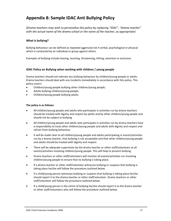# <span id="page-38-0"></span>**Appendix 8: Sample IDAC Anti Bullying Policy**

*(Drama teachers may wish to personalise this policy by replacing "IDAC", "drama teacher" with the actual name of the drama school or the name of the teacher, as appropriate)* 

#### **What is bullying?**

Bullying behaviour can be defined as repeated aggression be it verbal, psychological or physical which is conducted by an individual or group against others.

Examples of bullying include teasing, taunting, threatening, hitting, extortion or exclusion.

#### **IDAC Policy on Bullying when working with children / young people**

Drama teachers should not tolerate any bullying behaviour by children/young people or adults. Drama teachers should deal with any incidents immediately in accordance with this policy. This policy covers:

- Children/young people bullying other children/young people;
- Adults bullying children/young people;
- Children/young people bullying adults.

#### **The policy is as follows:**

- All children/young people and adults who participate in activities run by drama teachers should be treated with dignity and respect by adults and by other children/young people and should not be subject to bullying.
- All children/young people and adults who participate in activities run by drama teachers have a responsibility to treat other children/young people and adults with dignity and respect and refrain from bullying behaviour.
- It will be made clear to all children/young people and adults participating in events/activities run by a drama teacher, that bullying is not acceptable and that other children/young people and adults should be treated with dignity and respect.
- There will be adequate supervision by the drama teacher or other staff/volunteers at all events/activities involving children/young people. This will help to prevent bullying.
- Drama teachers or other staff/volunteers will monitor all events/activities run involving children/young people to ensure that no bullying is taking place.
- If a drama teacher or other staff/volunteer witnesses bullying or suspects that bullying is taking place he/she will follow the procedure outlined below.
- If a child/young person witnesses bullying or suspects that bullying is taking place he/she should report it to the drama teacher or other staff/volunteer. Drama teachers or other staff/volunteer will follow the procedure outlined below.
- If a child/young person is the victim of bullying he/she should report it to the drama teacher or other staff/volunteers who will follow the procedure outlined below.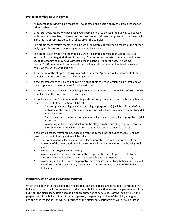#### **Procedure for dealing with bullying**

- All reports of bullying will be recorded, investigated and dealt with by the drama teacher or other staff/volunteers.
- Other staff/volunteers who have received a complaint or witnessed the bullying will consult with the drama teacher, if present, or the most senior staff member present to decide on who is the most appropriate person to follow up on the complaint.
- The drama teacher/staff member dealing with the complaint will keep a record of the alleged bullying incident/s and the investigation and action taken.
- The drama teacher/staff member dealing with the complaint will speak separately to all involved in order to get all sides of the story. The drama teacher/staff member should also speak to others who may have witnessed the incident(s), if appropriate. The drama teacher/staff member will interview all involved in a calm manner and will seek answers to what, where, when, who and why.
- If the victim of the alleged bullying is a child their parent/guardian will be informed of the complaint and the outcome of the investigation.
- If the perpetrator of the alleged bullying is a child their parent/guardian will be informed of the complaint and the outcome of the investigation.
- If the perpetrator of the alleged bullying is an adult, the drama teacher will be informed of the complaint and the outcome of the investigation.
- If the drama teacher/staff member dealing with the complaint concludes that bullying has not taken place, the following action will be taken:
	- The complainant, alleged victim and alleged perpetrator(s) will be informed of the outcome of the investigation and the reasons why it was concluded that bullying did not take place;
	- Support will be given to the complainant, alleged victim and alleged perpetrator(s) if necessary;
	- A meeting will be arranged between the alleged victim and alleged perpetrator to discuss the issues involved if both are agreeable and it is deemed appropriate.
- If the drama teacher/staff member dealing with the complaint concludes that bullying has taken place, the following action will be taken:
	- The complainant, alleged victim and alleged perpetrator/s will be informed of the outcome of the investigation and the reasons why it was concluded that bullying took place;
	- Support will be given to the victim;
	- A meeting will be arranged between the alleged victim and alleged perpetrator to discuss the issues involved if both are agreeable and it is deemed appropriate;
	- A meeting will be held with the perpetrator to discuss the bullying behaviour. They will be informed of the disciplinary action, which will be taken as a result of this bullying behaviour.

#### **Disciplinary action when bullying has occurred**

When the inquiry into the alleged bullying incident has taken place and it has been concluded that bullying occurred, it will be necessary to take some disciplinary action against the perpetrator of the bullying. The disciplinary action should be appropriate to the seriousness of the incident(s). If the perpetrator of the bullying is a child/young person, the parent/guardian of the child/young person and the child/young person will be informed of the disciplinary action which will be taken. If the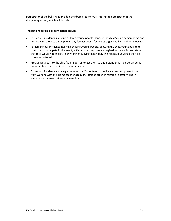perpetrator of the bullying is an adult the drama teacher will inform the perpetrator of the disciplinary action, which will be taken.

#### **The options for disciplinary action include:**

- For serious incidents involving children/young people, sending the child/young person home and not allowing them to participate in any further events/activities organised by the drama teacher;
- For less serious incidents involving children/young people, allowing the child/young person to continue to participate in the event/activity once they have apologised to the victim and stated that they would not engage in any further bullying behaviour. Their behaviour would then be closely monitored;
- Providing support to the child/young person to get them to understand that their behaviour is not acceptable and monitoring their behaviour;
- For serious incidents involving a member staff/volunteer of the drama teacher, prevent them from working with the drama teacher again. (All actions taken in relation to staff will be in accordance the relevant employment law).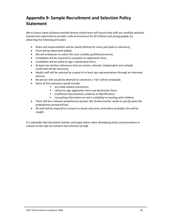# <span id="page-41-0"></span>**Appendix 9: Sample Recruitment and Selection Policy Statement**

We in *(Insert name of drama teacher/drama school here)* will ensure that staff are carefully selected, trained and supervised to provide a safe environment for all children and young people, by observing the following principles:

- Roles and responsibilities will be clearly defined for every job (paid or voluntary);
- Posts will be advertised widely;
- We will endeavour to select the most suitably qualified personnel;
- Candidates will be required to complete an application form;
- Candidates will be asked to sign a declaration form;
- At least two written references that are recent, relevant, independent and verbally confirmed will be necessary;
- Ideally staff will be selected by a panel of at least two representatives through an interview process;
- No person who would be deemed to constitute a 'risk' will be employed;
- Some of the exclusions would include:
	- any child-related convictions;
	- **F** refusal to sign application form and declaration form;
	- **EXECUTE:** insufficient documentary evidence of identification;
	- **E** concealing information on one's suitability to working with children;
- There will be a relevant probationary period; *(the drama teacher needs to specify what the probationary period will be).*
- All staff will be required to consent to Garda clearance, and where available, this will be sought.

*It is advisable that the drama teacher seek legal advice when developing policy and procedures in relation to the safe recruitment and selection of staff.*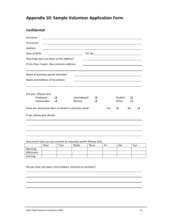# <span id="page-42-0"></span>**Appendix 10: Sample Volunteer Application Form**

## **Confidential**

| Surname:                                                             |                       |  |     |                  |    |  |
|----------------------------------------------------------------------|-----------------------|--|-----|------------------|----|--|
| Forename:                                                            |                       |  |     |                  |    |  |
| Address:                                                             |                       |  |     |                  |    |  |
| Date of Birth:                                                       |                       |  |     |                  |    |  |
| How long have you been at this address?                              |                       |  |     |                  |    |  |
| If less than 2 years, then previous address:                         |                       |  |     |                  |    |  |
| Name of previous parish attended:                                    |                       |  |     |                  |    |  |
| Name and Address of Incumbent                                        |                       |  |     |                  |    |  |
| Are you: (Please tick)<br>Employed<br>ப<br>Homemaker<br>$\mathbf{I}$ | Unemployed<br>Retired |  |     | Student<br>Other |    |  |
| Have you previously been involved in voluntary work?                 |                       |  | Yes | □                | No |  |
| If yes, please give details:                                         |                       |  |     |                  |    |  |
|                                                                      |                       |  |     |                  |    |  |
|                                                                      |                       |  |     |                  |    |  |
|                                                                      |                       |  |     |                  |    |  |

How much time can you commit to voluntary work? (Please tick)

|           | Mon | <b>Tues</b> | Weds | <b>Thurs</b> | Fri | Sat | Sun |
|-----------|-----|-------------|------|--------------|-----|-----|-----|
| Morning   |     |             |      |              |     |     |     |
| Afternoon |     |             |      |              |     |     |     |
| Evening   |     |             |      |              |     |     |     |

Do you have any spare time hobbies, interests or activities?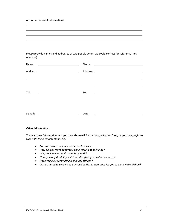Any other relevant information?

Please provide names and addresses of two people whom we could contact for reference (not relatives).

| Name:   | Name: | <u> 1980 - Johann Stein, mars an de Brasilia (b. 1980)</u> |
|---------|-------|------------------------------------------------------------|
| Address |       |                                                            |
|         |       |                                                            |
| Tel:    | Tel:  |                                                            |
|         |       |                                                            |
| Signed: | Date: |                                                            |

#### *Other information:*

There is other information that you may like to ask for on the application form, or you may prefer to *wait until the interview stage, e.g.*

- *Can you drive? Do you have access to a car?*
- *How did you learn about this volunteering opportunity?*
- *Why do you want to do voluntary work?*
- *Have you any disability which would affect your voluntary work?*
- *Have you ever committed a criminal offence?*
- *Do you agree to consent to our seeking Garda clearance for you to work with children?*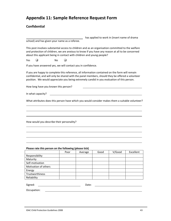# <span id="page-44-0"></span>**Appendix 11: Sample Reference Request Form**

## **Confidential**

|                                                                                                                                                                                                                                                                                                  |    |      |         |      | has applied to work in (insert name of drama |           |
|--------------------------------------------------------------------------------------------------------------------------------------------------------------------------------------------------------------------------------------------------------------------------------------------------|----|------|---------|------|----------------------------------------------|-----------|
| school) and has given your name as a referee.                                                                                                                                                                                                                                                    |    |      |         |      |                                              |           |
| This post involves substantial access to children and as an organisation committed to the welfare<br>and protection of children, we are anxious to know if you have any reason at all to be concerned<br>about this applicant being in contact with children and young people?                   |    |      |         |      |                                              |           |
| Yes                                                                                                                                                                                                                                                                                              | No |      |         |      |                                              |           |
| If you have answered yes, we will contact you in confidence.                                                                                                                                                                                                                                     |    |      |         |      |                                              |           |
| If you are happy to complete this reference, all information contained on the form will remain<br>confidential, and will only be shared with the panel members, should they be offered a volunteer<br>position. We would appreciate you being extremely candid in you evaluation of this person. |    |      |         |      |                                              |           |
| How long have you known this person?                                                                                                                                                                                                                                                             |    |      |         |      |                                              |           |
| In what capacity?                                                                                                                                                                                                                                                                                |    |      |         |      |                                              |           |
| What attributes does this person have which you would consider makes them a suitable volunteer?                                                                                                                                                                                                  |    |      |         |      |                                              |           |
|                                                                                                                                                                                                                                                                                                  |    |      |         |      |                                              |           |
|                                                                                                                                                                                                                                                                                                  |    |      |         |      |                                              |           |
| How would you describe their personality?                                                                                                                                                                                                                                                        |    |      |         |      |                                              |           |
|                                                                                                                                                                                                                                                                                                  |    |      |         |      |                                              |           |
|                                                                                                                                                                                                                                                                                                  |    |      |         |      |                                              |           |
|                                                                                                                                                                                                                                                                                                  |    |      |         |      |                                              |           |
| Please rate this person on the following (please tick)                                                                                                                                                                                                                                           |    |      |         |      |                                              |           |
|                                                                                                                                                                                                                                                                                                  |    | Poor | Average | Good | V/Good                                       | Excellent |
| Responsibility                                                                                                                                                                                                                                                                                   |    |      |         |      |                                              |           |
| Maturity                                                                                                                                                                                                                                                                                         |    |      |         |      |                                              |           |
| Self-motivation                                                                                                                                                                                                                                                                                  |    |      |         |      |                                              |           |
| Motivation of others                                                                                                                                                                                                                                                                             |    |      |         |      |                                              |           |
| Energy                                                                                                                                                                                                                                                                                           |    |      |         |      |                                              |           |

Signed: Date:

Occupation:

Trustworthiness Reliability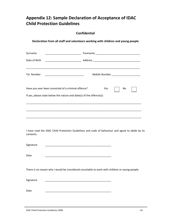# <span id="page-45-0"></span>**Appendix 12: Sample Declaration of Acceptance of IDAC Child Protection Guidelines**

## **Confidential**

|                                                                      | Declaration from all staff and volunteers working with children and young people                 |
|----------------------------------------------------------------------|--------------------------------------------------------------------------------------------------|
| Surname                                                              |                                                                                                  |
| Date of Birth                                                        |                                                                                                  |
| Tel. Number                                                          |                                                                                                  |
| Have you ever been convicted of a criminal offence?                  | Yes<br>No.                                                                                       |
| If yes, please state below the nature and date(s) of the offence(s): |                                                                                                  |
|                                                                      |                                                                                                  |
|                                                                      |                                                                                                  |
| contents.                                                            | I have read the IDAC Child Protection Guidelines and code of behaviour and agree to abide by its |
| Signature                                                            |                                                                                                  |
| Date                                                                 |                                                                                                  |
|                                                                      | There is no reason why I would be considered unsuitable to work with children or young people.   |
| Signature                                                            |                                                                                                  |
| Date                                                                 |                                                                                                  |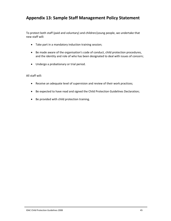# <span id="page-46-0"></span>**Appendix 13: Sample Staff Management Policy Statement**

To protect both staff (paid and voluntary) and children/young people, we undertake that new staff will:

- Take part in a mandatory induction training session;
- Be made aware of the organisation's code of conduct, child protection procedures, and the identity and role of who has been designated to deal with issues of concern;
- Undergo a probationary or trial period.

All staff will:

- Receive an adequate level of supervision and review of their work practices;
- Be expected to have read and signed the Child Protection Guidelines Declaration;
- Be provided with child protection training.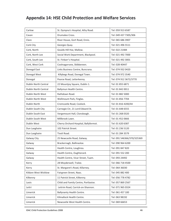# <span id="page-47-0"></span>**Appendix 14: HSE Child Protection and Welfare Services**

| Carlow               | St. Dympna's Hospital, Athy Road.     | Tel: 059 913 6587          |
|----------------------|---------------------------------------|----------------------------|
| Cavan                | Drumalee Cross.                       | Tel: 049 437 7305/306      |
| Clare                | River House, Gort Road, Ennis.        | Tel: 065 686 3907          |
| Cork City            | Georges Quay.                         | Tel: 021 496 5511          |
| Cork, North          | Goulds Hill Hse, Mallow.              | Tel: 022 21484             |
| Cork, North Lee      | Social Work Department, Blackpool.    | Tel: 021 492 7000          |
| Cork, South Lee      | St. Finbarr's Hospital.               | Tel: 021 492 3001          |
| Cork, West Cork      | Coolnagarrane, Skibbereen.            | Tel: 028 40447             |
| Donegal East         | Links Business Centre, Buncrana.      | Tel: 074 932 0420          |
| Donegal West         | Killybegs Road, Donegal Town.         | Tel: 074 972 3540          |
| Donegal              | Pearse Road, Letterkenny.             | Tel: 074 912 3672/3770     |
| Dublin North Central | 22 Mountjoy Square, Dublin 1.         | Tel: 01 855 6871           |
| Dublin North Central | Ballymun Health Centre.               | Tel: 01 842 0011           |
| Dublin North West    | Rathdown Road.                        | Tel: 01 882 5000           |
| Dublin North West    | Wellmount Park, Finglas.              | Tel: 01 856 7704           |
| Dublin North         | Cromcastle Road, Coolock.             | Tel: 01 816 4200/44        |
| Dublin South City    | Carnegie Ctr, 21 Lord Edward St.      | Tel: 01 648 6555           |
| Dublin South East    | Vergemount Hall, Clonskeagh.          | Tel: 01 268 0320           |
| Dublin South West    | Millbrook Lawn.                       | Tel: 01 452 0666           |
| Dublin West          | Cherry Orchard Hospital, Ballyfermot. | Tel: 01 620 6387           |
| Dun Laoghaire        | 102 Patrick Street.                   | Tel: 01 236 5120           |
| Dun Laoghaire        | Tivoli Road.                          | Tel: 01 284 3579           |
| Galway City          | 25 Newcastle Road, Galway.            | Tel: 091 546366/370/325369 |
| Galway               | Brackernagh, Ballinasloe.             | Tel: 090 964 6200          |
| Galway               | Health Centre, Loughrea.              | Tel: 091 847 820           |
| Galway               | Health Centre, Oughterard.            | Tel: 091 552 200           |
| Galway               | Health Centre, Vicar Street, Tuam.    | Tel: 093 24492             |
| Kerry                | 28 Moyderwell, Tralee.                | Tel: 066 718 4500          |
| Kerry                | St. Margaret's Road, Killarney.       | Tel: 064 36030             |
| Kildare West Wicklow | Fairgreen Street, Naas.               | Tel: 045 882 400           |
| Kilkenny             | 11 Patrick Street, Kilkenny.          | Tel: 056 778 4782          |
| Laois                | Child and Family Centre, Portlaoise.  | Tel: 057 869 2567          |
| Leitri               | Leitrim Road, Carrick-on-Shannon.     | Tel: 071 965 0324          |
| Limerick             | Ballynanty Health Centre.             | Tel: 061 457 100           |
| Limerick             | Kilmallock Health Centre.             | Tel: 063 98192             |
| Limerick             | Newcastle West Health Centre.         | Tel: 069 66653             |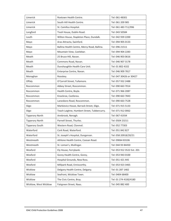| Limerick               | Roxtown Health Centre.                      | Tel: 061 48301             |
|------------------------|---------------------------------------------|----------------------------|
| Limerick               | South Hill Health Centre.                   | Tel: 061 209 985           |
| Limerick               | St. Camillus Hospital.                      | Tel: 061 483 711/996       |
| Longford               | Tivoli House, Dublin Road.                  | Tel: 043 50584             |
| Louth                  | Wilton House, Stapleton Place, Dundalk.     | Tel: 042 939 2200          |
| Mayo                   | Aras Attracta, Swinford.                    | Tel: 094 905 0133          |
| Mayo                   | Ballina Health Centre, Mercy Road, Ballina. | Tel: 096 21511             |
| Mayo                   | Mountain View, Castlebar.                   | Tel: 094 904 2283          |
| Meath                  | 25 Bruce Hill, Navan.                       | Tel: 046 903 0616          |
| Meath                  | Commons Road, Navan.                        | Tel: 046 907 3178          |
| Meath                  | Dunshaughlin Health Care Unit.              | Tel: 01 802 4102           |
| Meath                  | Enterprise Centre, Navan.                   | Tel: 046 909 7817          |
| Monaghan               | Rooskey.                                    | Tel: 047 30426 or 30427    |
| Offaly                 | O'Carroll Street, Tullamore.                | Tel: 057 932 2488          |
| Roscommon              | Abbey Street, Roscommon.                    | Tel: 090 663 7014          |
| Roscommon              | Health Centre, Boyle.                       | Tel: 071 966 2087          |
| Roscommon              | Knockroe, Castlerea.                        | Tel: 090 663 7843          |
| Roscommon              | Lanesboro Road, Roscommon.                  | Tel: 090 663 7528          |
| Sligo                  | Markievicz House, Barrack Street, Sligo.    | Tel: 071 915 5133          |
| Sligo                  | Teach Laighne, Humbert Street, Tubbercurry. | Tel: 071 912 0062          |
| <b>Tipperary North</b> | Annbrook, Nenagh.                           | Tel: 067 41934             |
| <b>Tipperary North</b> | Parnell Street, Thurles.                    | Tel: 0504 23211            |
| <b>Tipperary South</b> | Western Road, Clonmel.                      | Tel: 052 77303             |
| Waterford              | Cork Road, Waterford.                       | Tel: 051 842 827           |
| Waterford              | St. Joseph's Hospital, Dungarvan.           | Tel: 058 20918/20/21       |
| Westmeath              | Athlone Health Centre, Coosan Road.         | Tel: 09064 83106           |
| Westmeath              | St. Loman's, Mullingar.                     | Tel: 044 93 84450          |
| Wexford                | Ely House, Ferrybank.                       | Tel: 053 912 3522 Ext. 201 |
| Wexford                | Gorey Health Centre, Gorey.                 | Tel: 053 943 0100          |
| Wexford                | Hospital Grounds, New Ross.                 | Tel: 051 421 445           |
| Wexford                | Millpark Road, Enniscorthy.                 | Tel: 053 923 3465          |
| Wicklow                | Delgany Health Centre, Delgany.             | Tel: 01 287 1482           |
| Wicklow                | Seafront, Wicklow Town.                     | Tel: 0404 68400            |
| Wicklow                | The Civic Centre, Bray.                     | Tel: 01 274 4100/4180      |
| Wicklow, West Wicklow  | Fairgreen Street, Naas.                     | Tel: 045 882 400           |